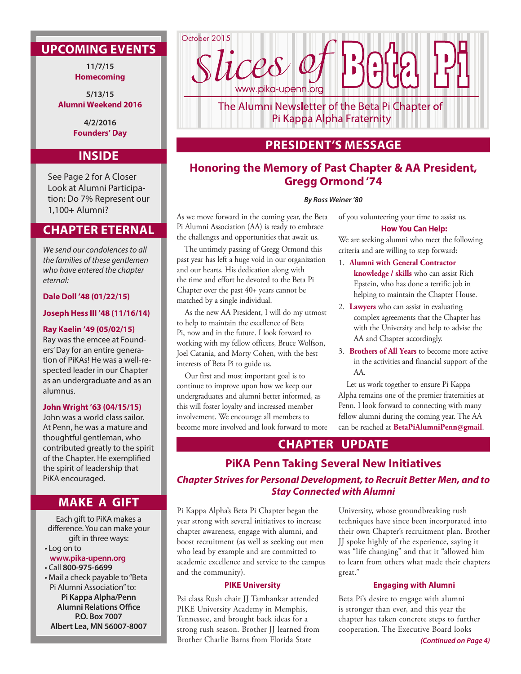# **UPCOMING EVENTS**

**11/7/15 Homecoming**

**5/13/15 Alumni Weekend 2016**

> **4/2/2016 Founders' Day**

## **INSIDE**

See Page 2 for A Closer Look at Alumni Participation: Do 7% Represent our 1,100+ Alumni?

# **CHAPTER ETERNAL**

*We send our condolences to all the families of these gentlemen who have entered the chapter eternal:* 

**Dale Doll '48 (01/22/15)**

### **Joseph Hess III '48 (11/16/14)**

### **Ray Kaelin '49 (05/02/15)**

Ray was the emcee at Founders' Day for an entire generation of PiKAs! He was a well-respected leader in our Chapter as an undergraduate and as an alumnus.

### **John Wright '63 (04/15/15)**

John was a world class sailor. At Penn, he was a mature and thoughtful gentleman, who contributed greatly to the spirit of the Chapter. He exemplified the spirit of leadership that PiKA encouraged.

### **MAKE A GIFT**

Each gift to PiKA makes a difference. You can make your gift in three ways:

- Log on to **www.pika-upenn.org**
- Call **800-975-6699**

• Mail a check payable to "Beta Pi Alumni Association" to: **Pi Kappa Alpha/Penn Alumni Relations Office P.O. Box 7007 Albert Lea, MN 56007-8007**



The Alumni Newsletter of the Beta Pi Chapter of Pi Kappa Alpha Fraternity

## **PRESIDENT'S MESSAGE**

# **Honoring the Memory of Past Chapter & AA President, Gregg Ormond '74**

### *By Ross Weiner '80*

As we move forward in the coming year, the Beta Pi Alumni Association (AA) is ready to embrace the challenges and opportunities that await us.

The untimely passing of Gregg Ormond this past year has left a huge void in our organization and our hearts. His dedication along with the time and effort he devoted to the Beta Pi Chapter over the past 40+ years cannot be matched by a single individual.

As the new AA President, I will do my utmost to help to maintain the excellence of Beta Pi, now and in the future. I look forward to working with my fellow officers, Bruce Wolfson, Joel Catania, and Morty Cohen, with the best interests of Beta Pi to guide us.

Our first and most important goal is to continue to improve upon how we keep our undergraduates and alumni better informed, as this will foster loyalty and increased member involvement. We encourage all members to become more involved and look forward to more of you volunteering your time to assist us. **How You Can Help:**

We are seeking alumni who meet the following criteria and are willing to step forward:

- 1. **Alumni with General Contractor knowledge / skills** who can assist Rich Epstein, who has done a terrific job in helping to maintain the Chapter House.
- 2. **Lawyers** who can assist in evaluating complex agreements that the Chapter has with the University and help to advise the AA and Chapter accordingly.
- 3. **Brothers of All Years** to become more active in the activities and financial support of the AA.

Let us work together to ensure Pi Kappa Alpha remains one of the premier fraternities at Penn. I look forward to connecting with many fellow alumni during the coming year. The AA can be reached at **BetaPiAlumniPenn@gmail**.

## **CHAPTER UPDATE**

# **PiKA Penn Taking Several New Initiatives**  *Chapter Strives for Personal Development, to Recruit Better Men, and to Stay Connected with Alumni*

Pi Kappa Alpha's Beta Pi Chapter began the year strong with several initiatives to increase chapter awareness, engage with alumni, and boost recruitment (as well as seeking out men who lead by example and are committed to academic excellence and service to the campus and the community).

### **PIKE University**

Psi class Rush chair JJ Tamhankar attended PIKE University Academy in Memphis, Tennessee, and brought back ideas for a strong rush season. Brother JJ learned from Brother Charlie Barns from Florida State

University, whose groundbreaking rush techniques have since been incorporated into their own Chapter's recruitment plan. Brother JJ spoke highly of the experience, saying it was "life changing" and that it "allowed him to learn from others what made their chapters great."

### **Engaging with Alumni**

Beta Pi's desire to engage with alumni is stronger than ever, and this year the chapter has taken concrete steps to further cooperation. The Executive Board looks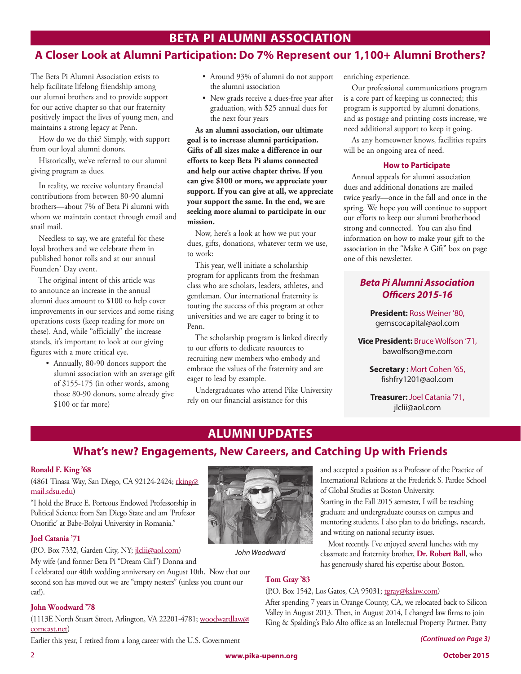# **BETA PI ALUMNI ASSOCIATION**

# **A Closer Look at Alumni Participation: Do 7% Represent our 1,100+ Alumni Brothers?**

The Beta Pi Alumni Association exists to help facilitate lifelong friendship among our alumni brothers and to provide support for our active chapter so that our fraternity positively impact the lives of young men, and maintains a strong legacy at Penn.

How do we do this? Simply, with support from our loyal alumni donors.

Historically, we've referred to our alumni giving program as dues.

In reality, we receive voluntary financial contributions from between 80-90 alumni brothers—about 7% of Beta Pi alumni with whom we maintain contact through email and snail mail.

Needless to say, we are grateful for these loyal brothers and we celebrate them in published honor rolls and at our annual Founders' Day event.

The original intent of this article was to announce an increase in the annual alumni dues amount to \$100 to help cover improvements in our services and some rising operations costs (keep reading for more on these). And, while "officially" the increase stands, it's important to look at our giving figures with a more critical eye.

> • Annually, 80-90 donors support the alumni association with an average gift of \$155-175 (in other words, among those 80-90 donors, some already give \$100 or far more)

- Around 93% of alumni do not support the alumni association
- New grads receive a dues-free year after graduation, with \$25 annual dues for the next four years

**As an alumni association, our ultimate goal is to increase alumni participation. Gifts of all sizes make a difference in our efforts to keep Beta Pi alums connected and help our active chapter thrive. If you can give \$100 or more, we appreciate your support. If you can give at all, we appreciate your support the same. In the end, we are seeking more alumni to participate in our mission.**

Now, here's a look at how we put your dues, gifts, donations, whatever term we use, to work:

This year, we'll initiate a scholarship program for applicants from the freshman class who are scholars, leaders, athletes, and gentleman. Our international fraternity is touting the success of this program at other universities and we are eager to bring it to Penn.

The scholarship program is linked directly to our efforts to dedicate resources to recruiting new members who embody and embrace the values of the fraternity and are eager to lead by example.

Undergraduates who attend Pike University rely on our financial assistance for this

enriching experience.

Our professional communications program is a core part of keeping us connected; this program is supported by alumni donations, and as postage and printing costs increase, we need additional support to keep it going.

As any homeowner knows, facilities repairs will be an ongoing area of need.

### **How to Participate**

Annual appeals for alumni association dues and additional donations are mailed twice yearly—once in the fall and once in the spring. We hope you will continue to support our efforts to keep our alumni brotherhood strong and connected. You can also find information on how to make your gift to the association in the "Make A Gift" box on page one of this newsletter.

### *Beta Pi Alumni Association Officers 2015-16*

**President:** Ross Weiner '80, gemscocapital@aol.com

**Vice President:** Bruce Wolfson '71, bawolfson@me.com

> **Secretary :** Mort Cohen '65, fishfry1201@aol.com

> **Treasurer:** Joel Catania '71, jlclii@aol.com

# **ALUMNI UPDATES**

# **What's new? Engagements, New Careers, and Catching Up with Friends**

### **Ronald F. King '68**

(4861 Tinasa Way, San Diego, CA 92124-2424; rking@ mail.sdsu.edu)

"I hold the Bruce E. Porteous Endowed Professorship in Political Science from San Diego State and am 'Profesor Onorific' at Babe-Bolyai University in Romania."

### **Joel Catania '71**

(P.O. Box 7332, Garden City, NY; jlclii@aol.com)

My wife (and former Beta Pi "Dream Girl") Donna and

I celebrated our 40th wedding anniversary on August 10th. Now that our second son has moved out we are "empty nesters" (unless you count our cat!).

### **John Woodward '78**

(1113E North Stuart Street, Arlington, VA 22201-4781; woodwardlaw@ comcast.net)

Earlier this year, I retired from a long career with the U.S. Government



*John Woodward*

and accepted a position as a Professor of the Practice of International Relations at the Frederick S. Pardee School of Global Studies at Boston University.

Starting in the Fall 2015 semester, I will be teaching graduate and undergraduate courses on campus and mentoring students. I also plan to do briefings, research, and writing on national security issues.

Most recently, I've enjoyed several lunches with my classmate and fraternity brother, **Dr. Robert Ball**, who has generously shared his expertise about Boston.

### **Tom Gray '83**

### (P.O. Box 1542, Los Gatos, CA 95031; tgray@kslaw.com)

After spending 7 years in Orange County, CA, we relocated back to Silicon Valley in August 2013. Then, in August 2014, I changed law firms to join King & Spalding's Palo Alto office as an Intellectual Property Partner. Patty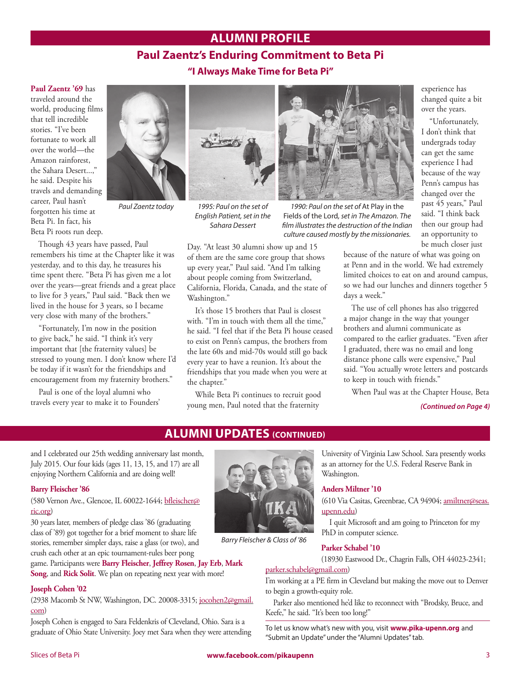# **ALUMNI PROFILE**

## **Paul Zaentz's Enduring Commitment to Beta Pi "I Always Make Time for Beta Pi"**

#### **Paul Zaentz '69** has

traveled around the world, producing films that tell incredible stories. "I've been fortunate to work all over the world—the Amazon rainforest, the Sahara Desert...." he said. Despite his travels and demanding career, Paul hasn't forgotten his time at Beta Pi. In fact, his Beta Pi roots run deep.



Though 43 years have passed, Paul remembers his time at the Chapter like it was yesterday, and to this day, he treasures his time spent there. "Beta Pi has given me a lot over the years—great friends and a great place to live for 3 years," Paul said. "Back then we lived in the house for 3 years, so I became very close with many of the brothers."

"Fortunately, I'm now in the position to give back," he said. "I think it's very important that [the fraternity values] be stressed to young men. I don't know where I'd be today if it wasn't for the friendships and encouragement from my fraternity brothers."

Paul is one of the loyal alumni who travels every year to make it to Founders'



*1995: Paul on the set of English Patient, set in the Sahara Dessert*

Washington."

the chapter."

Day. "At least 30 alumni show up and 15 of them are the same core group that shows up every year," Paul said. "And I'm talking about people coming from Switzerland, California, Florida, Canada, and the state of

It's those 15 brothers that Paul is closest with. "I'm in touch with them all the time," he said. "I feel that if the Beta Pi house ceased to exist on Penn's campus, the brothers from the late 60s and mid-70s would still go back every year to have a reunion. It's about the friendships that you made when you were at

While Beta Pi continues to recruit good young men, Paul noted that the fraternity

*Paul Zaentz today 1990: Paul on the set of* At Play in the Fields of the Lord*, set in The Amazon. The film illustrates the destruction of the Indian culture caused mostly by the missionaries.*

experience has changed quite a bit over the years.

"Unfortunately, I don't think that undergrads today can get the same experience I had because of the way Penn's campus has changed over the past 45 years," Paul said. "I think back then our group had an opportunity to be much closer just

because of the nature of what was going on at Penn and in the world. We had extremely limited choices to eat on and around campus, so we had our lunches and dinners together 5 days a week."

The use of cell phones has also triggered a major change in the way that younger brothers and alumni communicate as compared to the earlier graduates. "Even after I graduated, there was no email and long distance phone calls were expensive," Paul said. "You actually wrote letters and postcards to keep in touch with friends."

When Paul was at the Chapter House, Beta

#### *(Continued on Page 4)*

### **ALUMNI UPDATES (CONTINUED)**

and I celebrated our 25th wedding anniversary last month, July 2015. Our four kids (ages 11, 13, 15, and 17) are all enjoying Northern California and are doing well!

#### **Barry Fleischer '86**

(580 Vernon Ave., Glencoe, IL 60022-1644; bfleischer@ ric.org)

30 years later, members of pledge class '86 (graduating class of '89) got together for a brief moment to share life stories, remember simpler days, raise a glass (or two), and crush each other at an epic tournament-rules beer pong

game. Participants were **Barry Fleischer**, **Jeffrey Rosen**, **Jay Erb**, **Mark Song**, and **Rick Solit**. We plan on repeating next year with more!

#### **Joseph Cohen '02**

(2938 Macomb St NW, Washington, DC. 20008-3315; jocohen2@gmail. com)

Joseph Cohen is engaged to Sara Feldenkris of Cleveland, Ohio. Sara is a graduate of Ohio State University. Joey met Sara when they were attending



*Barry Fleischer & Class of '86*

University of Virginia Law School. Sara presently works as an attorney for the U.S. Federal Reserve Bank in Washington.

#### **Anders Miltner '10**

(610 Via Casitas, Greenbrae, CA 94904; amiltner@seas. upenn.edu)

I quit Microsoft and am going to Princeton for my PhD in computer science.

#### **Parker Schabel '10**

(18930 Eastwood Dr., Chagrin Falls, OH 44023-2341; parker.schabel@gmail.com)

I'm working at a PE firm in Cleveland but making the move out to Denver to begin a growth-equity role.

Parker also mentioned he'd like to reconnect with "Brodsky, Bruce, and Keefe," he said. "It's been too long!"

To let us know what's new with you, visit **www.pika-upenn.org** and "Submit an Update" under the "Alumni Updates" tab.